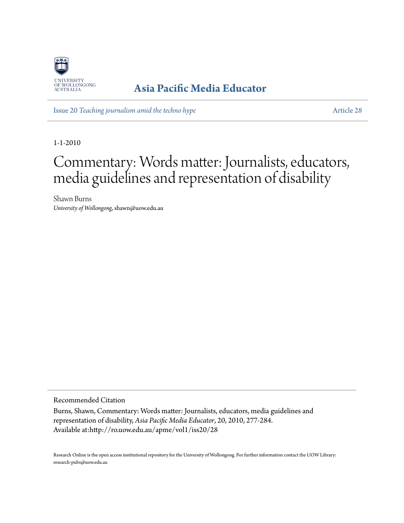

## **[Asia Pacific Media Educator](http://ro.uow.edu.au/apme)**

Issue 20 *[Teaching journalism amid the techno hype](http://ro.uow.edu.au/apme/vol1/iss20)* [Article 28](http://ro.uow.edu.au/apme/vol1/iss20/28)

1-1-2010

## Commentary: Words matter: Journalists, educators, media guidelines and representation of disability

Shawn Burns *University of Wollongong*, shawn@uow.edu.au

Recommended Citation

Burns, Shawn, Commentary: Words matter: Journalists, educators, media guidelines and representation of disability, *Asia Pacific Media Educator*, 20, 2010, 277-284. Available at:http://ro.uow.edu.au/apme/vol1/iss20/28

Research Online is the open access institutional repository for the University of Wollongong. For further information contact the UOW Library: research-pubs@uow.edu.au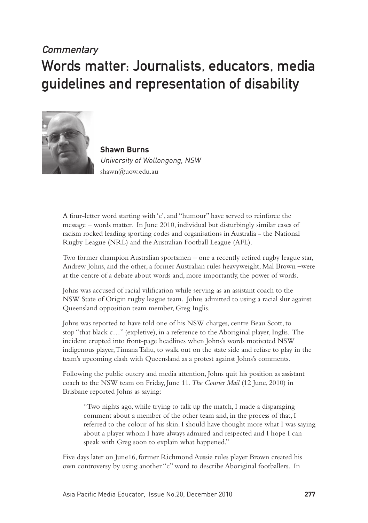## **Commentary** Words matter: Journalists, educators, media guidelines and representation of disability



**Shawn Burns** University of Wollongong, NSW shawn@uow.edu.au

A four-letter word starting with 'c', and "humour" have served to reinforce the message – words matter. In June 2010, individual but disturbingly similar cases of racism rocked leading sporting codes and organisations in Australia - the National Rugby League (NRL) and the Australian Football League (AFL).

Two former champion Australian sportsmen – one a recently retired rugby league star, Andrew Johns, and the other, a former Australian rules heavyweight, Mal Brown –were at the centre of a debate about words and, more importantly, the power of words.

Johns was accused of racial vilification while serving as an assistant coach to the NSW State of Origin rugby league team. Johns admitted to using a racial slur against Queensland opposition team member, Greg Inglis.

Johns was reported to have told one of his NSW charges, centre Beau Scott, to stop "that black c…" (expletive), in a reference to the Aboriginal player, Inglis. The incident erupted into front-page headlines when Johns's words motivated NSW indigenous player, Timana Tahu, to walk out on the state side and refuse to play in the team's upcoming clash with Queensland as a protest against Johns's comments.

Following the public outcry and media attention, Johns quit his position as assistant coach to the NSW team on Friday, June 11. *The Courier Mail* (12 June, 2010) in Brisbane reported Johns as saying:

"Two nights ago, while trying to talk up the match, I made a disparaging comment about a member of the other team and, in the process of that, I referred to the colour of his skin. I should have thought more what I was saying about a player whom I have always admired and respected and I hope I can speak with Greg soon to explain what happened."

Five days later on June16, former Richmond Aussie rules player Brown created his own controversy by using another "c" word to describe Aboriginal footballers. In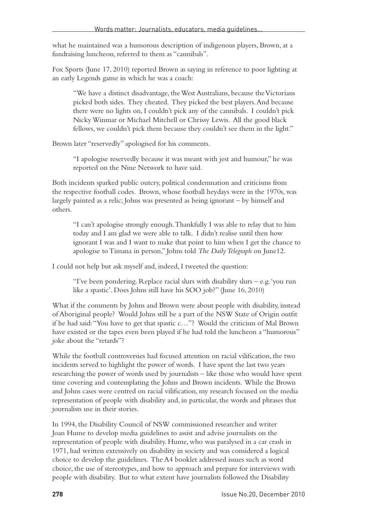what he maintained was a humorous description of indigenous players, Brown, at a fundraising luncheon, referred to them as "cannibals".

Fox Sports (June 17, 2010) reported Brown as saying in reference to poor lighting at an early Legends game in which he was a coach:

"We have a distinct disadvantage, the West Australians, because the Victorians picked both sides. They cheated. They picked the best players. And because there were no lights on, I couldn't pick any of the cannibals. I couldn't pick Nicky Winmar or Michael Mitchell or Chrissy Lewis. All the good black fellows, we couldn't pick them because they couldn't see them in the light."

Brown later "reservedly" apologised for his comments.

"I apologise reservedly because it was meant with jest and humour," he was reported on the Nine Network to have said.

Both incidents sparked public outcry, political condemnation and criticisms from the respective football codes. Brown, whose football heydays were in the 1970s, was largely painted as a relic; Johns was presented as being ignorant – by himself and others.

"I can't apologise strongly enough. Thankfully I was able to relay that to him today and I am glad we were able to talk. I didn't realise until then how ignorant I was and I want to make that point to him when I get the chance to apologise to Timana in person," Johns told *The Daily Telegraph* on June12.

I could not help but ask myself and, indeed, I tweeted the question:

"I've been pondering. Replace racial slurs with disability slurs – e.g. 'you run like a spastic'. Does Johns still have his SOO job?" (June 16, 2010)

What if the comments by Johns and Brown were about people with disability, instead of Aboriginal people? Would Johns still be a part of the NSW State of Origin outfit if he had said: "You have to get that spastic c…"? Would the criticism of Mal Brown have existed or the tapes even been played if he had told the luncheon a "humorous" joke about the "retards"?

While the football controversies had focused attention on racial vilification, the two incidents served to highlight the power of words. I have spent the last two years researching the power of words used by journalists – like those who would have spent time covering and contemplating the Johns and Brown incidents. While the Brown and Johns cases were centred on racial vilification, my research focused on the media representation of people with disability and, in particular, the words and phrases that journalists use in their stories.

In 1994, the Disability Council of NSW commissioned researcher and writer Joan Hume to develop media guidelines to assist and advise journalists on the representation of people with disability. Hume, who was paralysed in a car crash in 1971, had written extensively on disability in society and was considered a logical choice to develop the guidelines. The A4 booklet addressed issues such as word choice, the use of stereotypes, and how to approach and prepare for interviews with people with disability. But to what extent have journalists followed the Disability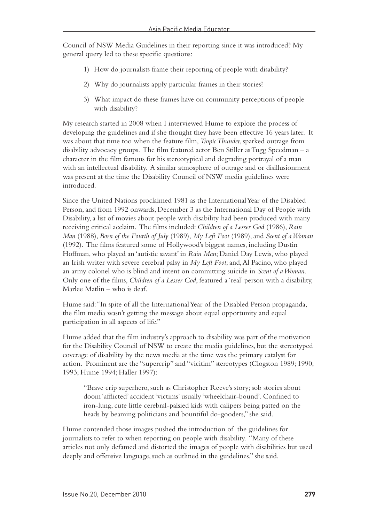Council of NSW Media Guidelines in their reporting since it was introduced? My general query led to these specific questions:

- 1) How do journalists frame their reporting of people with disability?
- 2) Why do journalists apply particular frames in their stories?
- 3) What impact do these frames have on community perceptions of people with disability?

My research started in 2008 when I interviewed Hume to explore the process of developing the guidelines and if she thought they have been effective 16 years later. It was about that time too when the feature film, *Tropic Thunder*, sparked outrage from disability advocacy groups. The film featured actor Ben Stiller as Tugg Speedman – a character in the film famous for his stereotypical and degrading portrayal of a man with an intellectual disability. A similar atmosphere of outrage and or disillusionment was present at the time the Disability Council of NSW media guidelines were introduced.

Since the United Nations proclaimed 1981 as the International Year of the Disabled Person, and from 1992 onwards, December 3 as the International Day of People with Disability, a list of movies about people with disability had been produced with many receiving critical acclaim. The films included: *Children of a Lesser God* (1986), *Rain Man* (1988), *Born of the Fourth of July* (1989), *My Left Foot* (1989), and *Scent of a Woman* (1992). The films featured some of Hollywood's biggest names, including Dustin Hoffman, who played an 'autistic savant' in *Rain Man*; Daniel Day Lewis, who played an Irish writer with severe cerebral palsy in *My Left Foot*; and, Al Pacino, who played an army colonel who is blind and intent on committing suicide in *Scent of a Woman*. Only one of the films, *Children of a Lesser God*, featured a 'real' person with a disability, Marlee Matlin – who is deaf.

Hume said: "In spite of all the International Year of the Disabled Person propaganda, the film media wasn't getting the message about equal opportunity and equal participation in all aspects of life."

Hume added that the film industry's approach to disability was part of the motivation for the Disability Council of NSW to create the media guidelines, but the stereotyped coverage of disability by the news media at the time was the primary catalyst for action. Prominent are the "supercrip" and "vicitim" stereotypes (Clogston 1989; 1990; 1993; Hume 1994; Haller 1997):

"Brave crip superhero, such as Christopher Reeve's story; sob stories about doom 'afflicted' accident 'victims' usually 'wheelchair-bound'. Confined to iron-lung, cute little cerebral-palsied kids with calipers being patted on the heads by beaming politicians and bountiful do-gooders," she said.

Hume contended those images pushed the introduction of the guidelines for journalists to refer to when reporting on people with disability. "Many of these articles not only defamed and distorted the images of people with disabilities but used deeply and offensive language, such as outlined in the guidelines," she said.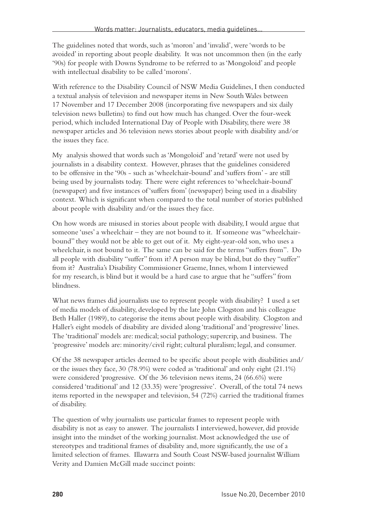The guidelines noted that words, such as 'moron' and 'invalid', were 'words to be avoided' in reporting about people disability. It was not uncommon then (in the early '90s) for people with Downs Syndrome to be referred to as 'Mongoloid' and people with intellectual disability to be called 'morons'.

With reference to the Disability Council of NSW Media Guidelines, I then conducted a textual analysis of television and newspaper items in New South Wales between 17 November and 17 December 2008 (incorporating five newspapers and six daily television news bulletins) to find out how much has changed. Over the four-week period, which included International Day of People with Disability, there were 38 newspaper articles and 36 television news stories about people with disability and/or the issues they face.

My analysis showed that words such as 'Mongoloid' and 'retard' were not used by journalists in a disability context. However, phrases that the guidelines considered to be offensive in the '90s - such as 'wheelchair-bound' and 'suffers from' - are still being used by journalists today. There were eight references to 'wheelchair-bound' (newspaper) and five instances of 'suffers from' (newspaper) being used in a disability context. Which is significant when compared to the total number of stories published about people with disability and/or the issues they face.

On how words are misused in stories about people with disability, I would argue that someone 'uses' a wheelchair – they are not bound to it. If someone was "wheelchairbound" they would not be able to get out of it. My eight-year-old son, who uses a wheelchair, is not bound to it. The same can be said for the terms "suffers from". Do all people with disability "suffer" from it? A person may be blind, but do they "suffer" from it? Australia's Disability Commissioner Graeme, Innes, whom I interviewed for my research, is blind but it would be a hard case to argue that he "suffers" from blindness.

What news frames did journalists use to represent people with disability? I used a set of media models of disability, developed by the late John Clogston and his colleague Beth Haller (1989), to categorise the items about people with disability. Clogston and Haller's eight models of disability are divided along 'traditional' and 'progressive' lines. The 'traditional' models are: medical; social pathology; supercrip, and business. The 'progressive' models are: minority/civil right; cultural pluralism; legal, and consumer.

Of the 38 newspaper articles deemed to be specific about people with disabilities and/ or the issues they face, 30 (78.9%) were coded as 'traditional' and only eight (21.1%) were considered 'progressive. Of the 36 television news items, 24 (66.6%) were considered 'traditional' and 12 (33.35) were 'progressive'. Overall, of the total 74 news items reported in the newspaper and television, 54 (72%) carried the traditional frames of disability.

The question of why journalists use particular frames to represent people with disability is not as easy to answer. The journalists I interviewed, however, did provide insight into the mindset of the working journalist. Most acknowledged the use of stereotypes and traditional frames of disability and, more significantly, the use of a limited selection of frames. Illawarra and South Coast NSW-based journalist William Verity and Damien McGill made succinct points: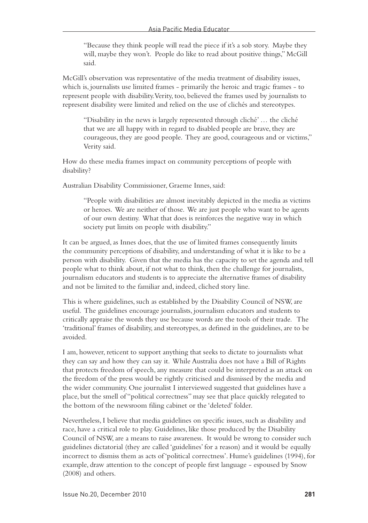"Because they think people will read the piece if it's a sob story. Maybe they will, maybe they won't. People do like to read about positive things," McGill said.

McGill's observation was representative of the media treatment of disability issues, which is, journalists use limited frames - primarily the heroic and tragic frames - to represent people with disability. Verity, too, believed the frames used by journalists to represent disability were limited and relied on the use of clichés and stereotypes.

"Disability in the news is largely represented through cliché' … the cliché that we are all happy with in regard to disabled people are brave, they are courageous, they are good people. They are good, courageous and or victims," Verity said.

How do these media frames impact on community perceptions of people with disability?

Australian Disability Commissioner, Graeme Innes, said:

"People with disabilities are almost inevitably depicted in the media as victims or heroes. We are neither of those. We are just people who want to be agents of our own destiny. What that does is reinforces the negative way in which society put limits on people with disability."

It can be argued, as Innes does, that the use of limited frames consequently limits the community perceptions of disability, and understanding of what it is like to be a person with disability. Given that the media has the capacity to set the agenda and tell people what to think about, if not what to think, then the challenge for journalists, journalism educators and students is to appreciate the alternative frames of disability and not be limited to the familiar and, indeed, cliched story line.

This is where guidelines, such as established by the Disability Council of NSW, are useful. The guidelines encourage journalists, journalism educators and students to critically appraise the words they use because words are the tools of their trade. The 'traditional' frames of disability, and stereotypes, as defined in the guidelines, are to be avoided.

I am, however, reticent to support anything that seeks to dictate to journalists what they can say and how they can say it. While Australia does not have a Bill of Rights that protects freedom of speech, any measure that could be interpreted as an attack on the freedom of the press would be rightly criticised and dismissed by the media and the wider community. One journalist I interviewed suggested that guidelines have a place, but the smell of "political correctness" may see that place quickly relegated to the bottom of the newsroom filing cabinet or the 'deleted' folder.

Nevertheless, I believe that media guidelines on specific issues, such as disability and race, have a critical role to play. Guidelines, like those produced by the Disability Council of NSW, are a means to raise awareness. It would be wrong to consider such guidelines dictatorial (they are called 'guidelines' for a reason) and it would be equally incorrect to dismiss them as acts of 'political correctness'. Hume's guidelines (1994), for example, draw attention to the concept of people first language - espoused by Snow (2008) and others.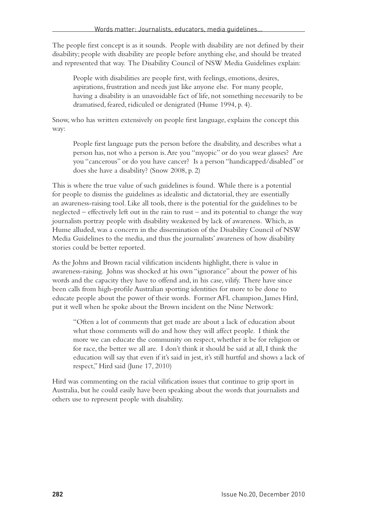The people first concept is as it sounds. People with disability are not defined by their disability; people with disability are people before anything else, and should be treated and represented that way. The Disability Council of NSW Media Guidelines explain:

People with disabilities are people first, with feelings, emotions, desires, aspirations, frustration and needs just like anyone else. For many people, having a disability is an unavoidable fact of life, not something necessarily to be dramatised, feared, ridiculed or denigrated (Hume 1994, p. 4).

Snow, who has written extensively on people first language, explains the concept this way:

People first language puts the person before the disability, and describes what a person has, not who a person is. Are you "myopic" or do you wear glasses? Are you "cancerous" or do you have cancer? Is a person "handicapped/disabled" or does she have a disability? (Snow 2008, p. 2)

This is where the true value of such guidelines is found. While there is a potential for people to dismiss the guidelines as idealistic and dictatorial, they are essentially an awareness-raising tool. Like all tools, there is the potential for the guidelines to be neglected – effectively left out in the rain to rust – and its potential to change the way journalists portray people with disability weakened by lack of awareness. Which, as Hume alluded, was a concern in the dissemination of the Disability Council of NSW Media Guidelines to the media, and thus the journalists' awareness of how disability stories could be better reported.

As the Johns and Brown racial vilification incidents highlight, there is value in awareness-raising. Johns was shocked at his own "ignorance" about the power of his words and the capacity they have to offend and, in his case, vilify. There have since been calls from high-profile Australian sporting identities for more to be done to educate people about the power of their words. Former AFL champion, James Hird, put it well when he spoke about the Brown incident on the Nine Network:

"Often a lot of comments that get made are about a lack of education about what those comments will do and how they will affect people. I think the more we can educate the community on respect, whether it be for religion or for race, the better we all are. I don't think it should be said at all, I think the education will say that even if it's said in jest, it's still hurtful and shows a lack of respect," Hird said (June 17, 2010)

Hird was commenting on the racial vilification issues that continue to grip sport in Australia, but he could easily have been speaking about the words that journalists and others use to represent people with disability.